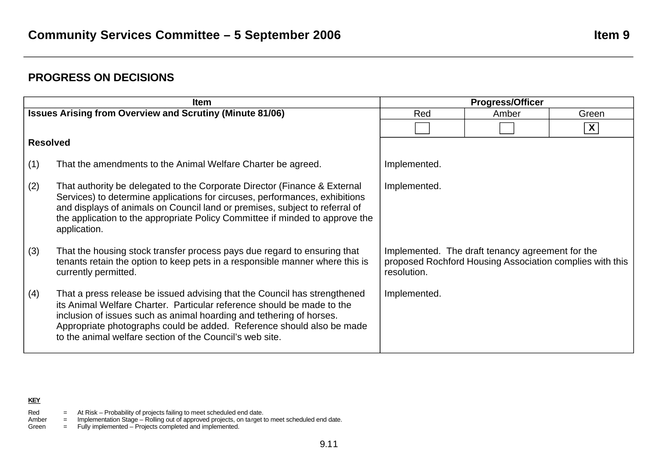# **PROGRESS ON DECISIONS**

| <b>Item</b>                                                     |                                                                                                                                                                                                                                                                                                                                                                  | <b>Progress/Officer</b>                                                                                                     |       |                  |
|-----------------------------------------------------------------|------------------------------------------------------------------------------------------------------------------------------------------------------------------------------------------------------------------------------------------------------------------------------------------------------------------------------------------------------------------|-----------------------------------------------------------------------------------------------------------------------------|-------|------------------|
| <b>Issues Arising from Overview and Scrutiny (Minute 81/06)</b> |                                                                                                                                                                                                                                                                                                                                                                  | Red                                                                                                                         | Amber | Green            |
|                                                                 |                                                                                                                                                                                                                                                                                                                                                                  |                                                                                                                             |       | $\boldsymbol{X}$ |
| <b>Resolved</b>                                                 |                                                                                                                                                                                                                                                                                                                                                                  |                                                                                                                             |       |                  |
| (1)                                                             | That the amendments to the Animal Welfare Charter be agreed.                                                                                                                                                                                                                                                                                                     | Implemented.                                                                                                                |       |                  |
| (2)                                                             | That authority be delegated to the Corporate Director (Finance & External<br>Services) to determine applications for circuses, performances, exhibitions<br>and displays of animals on Council land or premises, subject to referral of<br>the application to the appropriate Policy Committee if minded to approve the<br>application.                          | Implemented.                                                                                                                |       |                  |
| (3)                                                             | That the housing stock transfer process pays due regard to ensuring that<br>tenants retain the option to keep pets in a responsible manner where this is<br>currently permitted.                                                                                                                                                                                 | Implemented. The draft tenancy agreement for the<br>proposed Rochford Housing Association complies with this<br>resolution. |       |                  |
| (4)                                                             | That a press release be issued advising that the Council has strengthened<br>its Animal Welfare Charter. Particular reference should be made to the<br>inclusion of issues such as animal hoarding and tethering of horses.<br>Appropriate photographs could be added. Reference should also be made<br>to the animal welfare section of the Council's web site. | Implemented.                                                                                                                |       |                  |

## **KEY**

- Red  $=$  At Risk Probability of projects failing to meet scheduled end date.
- Amber = Implementation Stage Rolling out of approved projects, on target to meet scheduled end date.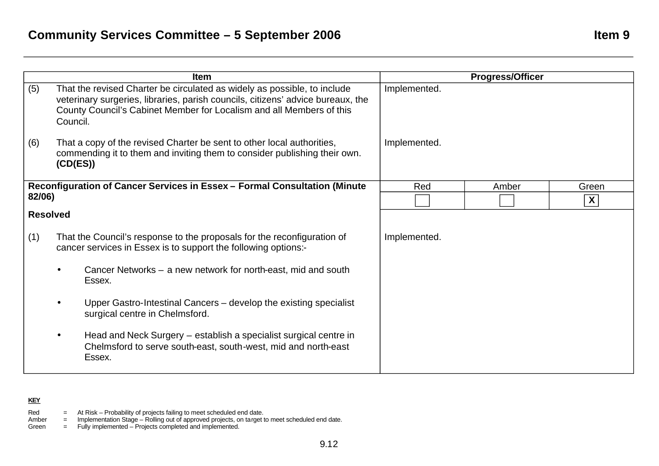| <b>Item</b>                                                               |                                                                                                                                           |                                                                                                                                                                                                                                     | <b>Progress/Officer</b> |       |       |
|---------------------------------------------------------------------------|-------------------------------------------------------------------------------------------------------------------------------------------|-------------------------------------------------------------------------------------------------------------------------------------------------------------------------------------------------------------------------------------|-------------------------|-------|-------|
| (5)                                                                       | Council.                                                                                                                                  | That the revised Charter be circulated as widely as possible, to include<br>veterinary surgeries, libraries, parish councils, citizens' advice bureaux, the<br>County Council's Cabinet Member for Localism and all Members of this | Implemented.            |       |       |
| (6)                                                                       | (CD(ES))                                                                                                                                  | That a copy of the revised Charter be sent to other local authorities,<br>commending it to them and inviting them to consider publishing their own.                                                                                 | Implemented.            |       |       |
| Reconfiguration of Cancer Services in Essex - Formal Consultation (Minute |                                                                                                                                           |                                                                                                                                                                                                                                     | Red                     | Amber | Green |
|                                                                           | 82/06)                                                                                                                                    |                                                                                                                                                                                                                                     |                         |       | X     |
|                                                                           | <b>Resolved</b>                                                                                                                           |                                                                                                                                                                                                                                     |                         |       |       |
| (1)                                                                       | That the Council's response to the proposals for the reconfiguration of<br>cancer services in Essex is to support the following options:- |                                                                                                                                                                                                                                     | Implemented.            |       |       |
|                                                                           |                                                                                                                                           | Cancer Networks – a new network for north-east, mid and south<br>Essex.                                                                                                                                                             |                         |       |       |
|                                                                           |                                                                                                                                           | Upper Gastro-Intestinal Cancers – develop the existing specialist<br>surgical centre in Chelmsford.                                                                                                                                 |                         |       |       |
|                                                                           |                                                                                                                                           | Head and Neck Surgery – establish a specialist surgical centre in<br>Chelmsford to serve south-east, south-west, mid and north-east<br>Essex.                                                                                       |                         |       |       |

## **KEY**

- Red  $=$  At Risk Probability of projects failing to meet scheduled end date.
- Amber = Implementation Stage Rolling out of approved projects, on target to meet scheduled end date.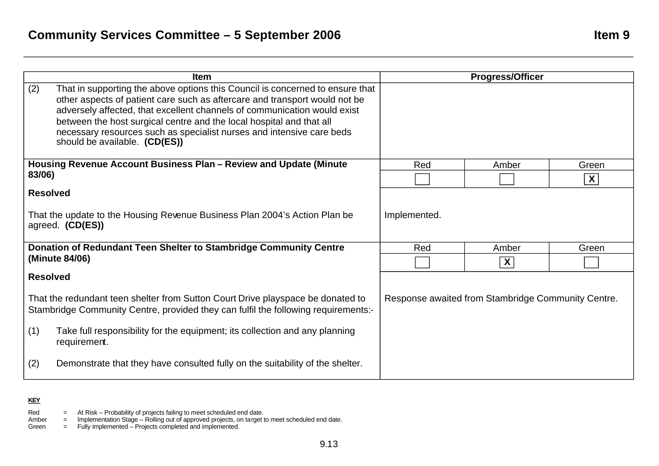| <b>Item</b>                                                                                                                                                           |                                                                                                                                                                                                                                                                                                                                                                                                                           | <b>Progress/Officer</b>                            |                           |                  |
|-----------------------------------------------------------------------------------------------------------------------------------------------------------------------|---------------------------------------------------------------------------------------------------------------------------------------------------------------------------------------------------------------------------------------------------------------------------------------------------------------------------------------------------------------------------------------------------------------------------|----------------------------------------------------|---------------------------|------------------|
| (2)                                                                                                                                                                   | That in supporting the above options this Council is concerned to ensure that<br>other aspects of patient care such as aftercare and transport would not be<br>adversely affected, that excellent channels of communication would exist<br>between the host surgical centre and the local hospital and that all<br>necessary resources such as specialist nurses and intensive care beds<br>should be available. (CD(ES)) |                                                    |                           |                  |
| Housing Revenue Account Business Plan - Review and Update (Minute<br>83/06)                                                                                           |                                                                                                                                                                                                                                                                                                                                                                                                                           | Red                                                | Amber                     | Green            |
|                                                                                                                                                                       |                                                                                                                                                                                                                                                                                                                                                                                                                           |                                                    |                           | $\boldsymbol{X}$ |
| <b>Resolved</b>                                                                                                                                                       |                                                                                                                                                                                                                                                                                                                                                                                                                           |                                                    |                           |                  |
| That the update to the Housing Revenue Business Plan 2004's Action Plan be<br>agreed. (CD(ES))                                                                        |                                                                                                                                                                                                                                                                                                                                                                                                                           | Implemented.                                       |                           |                  |
| Donation of Redundant Teen Shelter to Stambridge Community Centre                                                                                                     |                                                                                                                                                                                                                                                                                                                                                                                                                           | Red                                                | Amber                     | Green            |
|                                                                                                                                                                       | (Minute 84/06)                                                                                                                                                                                                                                                                                                                                                                                                            |                                                    | $\boldsymbol{\mathsf{X}}$ |                  |
| <b>Resolved</b>                                                                                                                                                       |                                                                                                                                                                                                                                                                                                                                                                                                                           |                                                    |                           |                  |
| That the redundant teen shelter from Sutton Court Drive playspace be donated to<br>Stambridge Community Centre, provided they can fulfil the following requirements:- |                                                                                                                                                                                                                                                                                                                                                                                                                           | Response awaited from Stambridge Community Centre. |                           |                  |
| (1)                                                                                                                                                                   | Take full responsibility for the equipment; its collection and any planning<br>requirement.                                                                                                                                                                                                                                                                                                                               |                                                    |                           |                  |
| (2)                                                                                                                                                                   | Demonstrate that they have consulted fully on the suitability of the shelter.                                                                                                                                                                                                                                                                                                                                             |                                                    |                           |                  |

## **KEY**

Red  $=$  At Risk – Probability of projects failing to meet scheduled end date.

Amber = Implementation Stage – Rolling out of approved projects, on target to meet scheduled end date.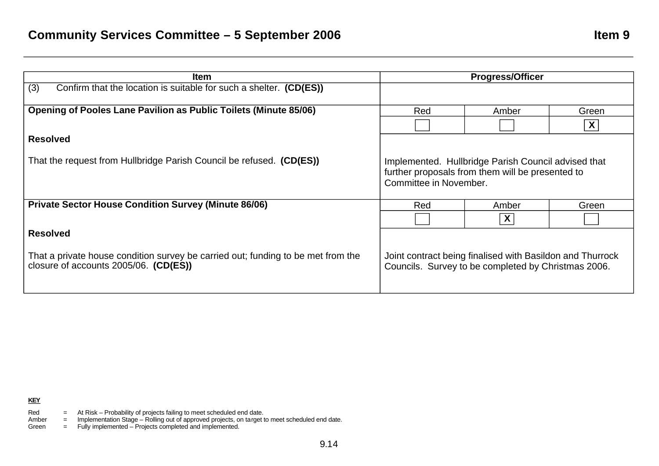| <b>Item</b>                                                                                                                                  | <b>Progress/Officer</b>                                                                                                           |       |       |
|----------------------------------------------------------------------------------------------------------------------------------------------|-----------------------------------------------------------------------------------------------------------------------------------|-------|-------|
| (3)<br>Confirm that the location is suitable for such a shelter. (CD(ES))                                                                    |                                                                                                                                   |       |       |
| <b>Opening of Pooles Lane Pavilion as Public Toilets (Minute 85/06)</b>                                                                      | Red                                                                                                                               | Amber | Green |
|                                                                                                                                              |                                                                                                                                   |       | X     |
| <b>Resolved</b>                                                                                                                              |                                                                                                                                   |       |       |
| That the request from Hullbridge Parish Council be refused. (CD(ES))                                                                         | Implemented. Hullbridge Parish Council advised that<br>further proposals from them will be presented to<br>Committee in November. |       |       |
| <b>Private Sector House Condition Survey (Minute 86/06)</b>                                                                                  | Red                                                                                                                               | Amber | Green |
|                                                                                                                                              |                                                                                                                                   |       |       |
| <b>Resolved</b><br>That a private house condition survey be carried out; funding to be met from the<br>closure of accounts 2005/06. (CD(ES)) | Joint contract being finalised with Basildon and Thurrock<br>Councils. Survey to be completed by Christmas 2006.                  |       |       |

Amber = Implementation Stage – Rolling out of approved projects, on target to meet scheduled end date.

Red  $=$  At Risk – Probability of projects failing to meet scheduled end date.